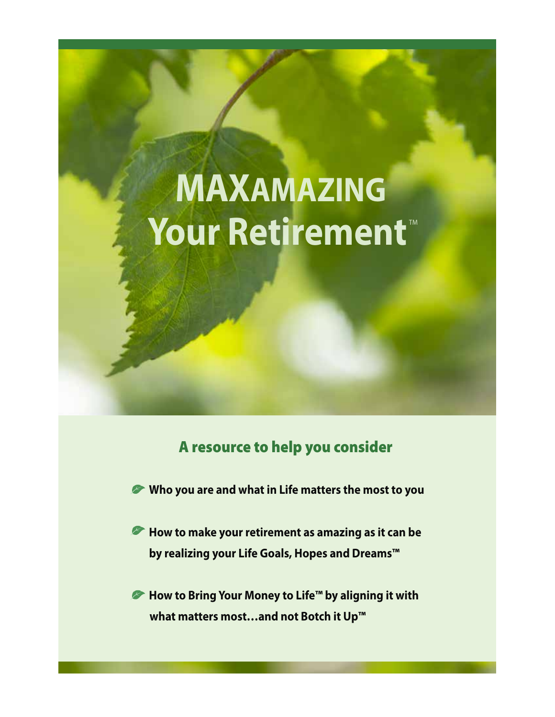# MAXAMAZING Your Retirement<sup>®</sup>

# A resource to help you consider

- **Who you are and what in Life matters the most to you**
- **EXTE How to make your retirement as amazing as it can be by realizing your Life Goals, Hopes and Dreams™**
- *►* **How to Bring Your Money to Life<sup>™</sup> by aligning it with what matters most…and not Botch it Up™**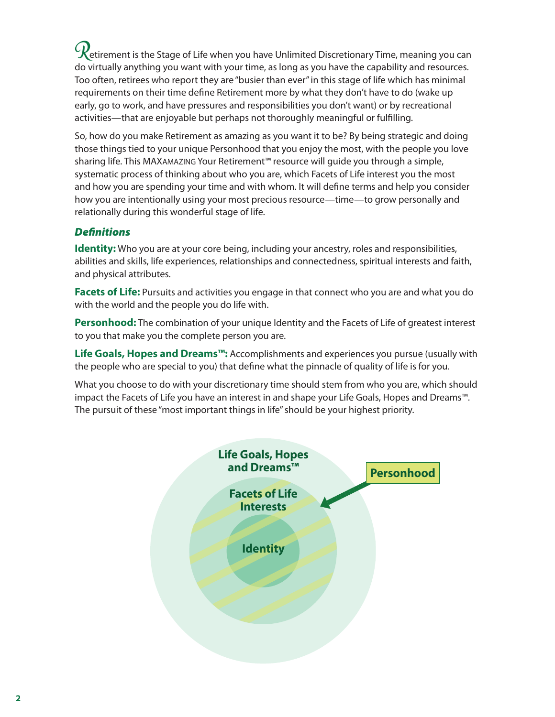$\mathcal{C}$ etirement is the Stage of Life when you have Unlimited Discretionary Time, meaning you can do virtually anything you want with your time, as long as you have the capability and resources. Too often, retirees who report they are "busier than ever" in this stage of life which has minimal requirements on their time define Retirement more by what they don't have to do (wake up early, go to work, and have pressures and responsibilities you don't want) or by recreational activities—that are enjoyable but perhaps not thoroughly meaningful or fulfilling.

So, how do you make Retirement as amazing as you want it to be? By being strategic and doing those things tied to your unique Personhood that you enjoy the most, with the people you love sharing life. This MAXAMAZING Your Retirement™ resource will guide you through a simple, systematic process of thinking about who you are, which Facets of Life interest you the most and how you are spending your time and with whom. It will define terms and help you consider how you are intentionally using your most precious resource—time—to grow personally and relationally during this wonderful stage of life.

# *Definitions*

**Identity:** Who you are at your core being, including your ancestry, roles and responsibilities, abilities and skills, life experiences, relationships and connectedness, spiritual interests and faith, and physical attributes.

**Facets of Life:** Pursuits and activities you engage in that connect who you are and what you do with the world and the people you do life with.

**Personhood:** The combination of your unique Identity and the Facets of Life of greatest interest to you that make you the complete person you are.

**Life Goals, Hopes and Dreams™:** Accomplishments and experiences you pursue (usually with the people who are special to you) that define what the pinnacle of quality of life is for you.

What you choose to do with your discretionary time should stem from who you are, which should impact the Facets of Life you have an interest in and shape your Life Goals, Hopes and Dreams™. The pursuit of these "most important things in life" should be your highest priority.

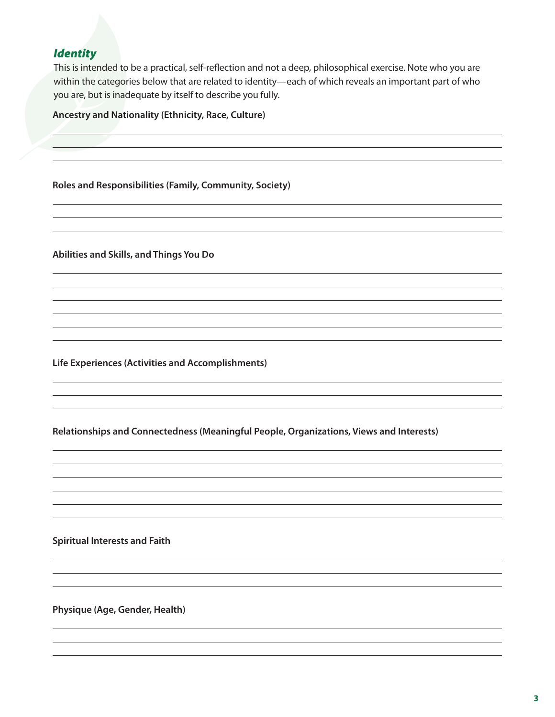# *Identity*

This is intended to be a practical, self-reflection and not a deep, philosophical exercise. Note who you are within the categories below that are related to identity—each of which reveals an important part of who you are, but is inadequate by itself to describe you fully.

### **Ancestry and Nationality (Ethnicity, Race, Culture)**

**Roles and Responsibilities (Family, Community, Society)**

**Abilities and Skills, and Things You Do**

**Life Experiences (Activities and Accomplishments)**

**Relationships and Connectedness (Meaningful People, Organizations, Views and Interests)** 

**Spiritual Interests and Faith**

**Physique (Age, Gender, Health)**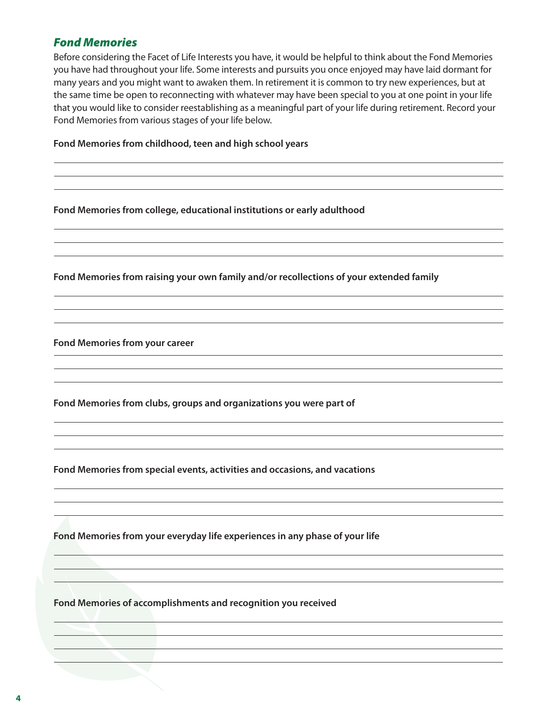# *Fond Memories*

Before considering the Facet of Life Interests you have, it would be helpful to think about the Fond Memories you have had throughout your life. Some interests and pursuits you once enjoyed may have laid dormant for many years and you might want to awaken them. In retirement it is common to try new experiences, but at the same time be open to reconnecting with whatever may have been special to you at one point in your life that you would like to consider reestablishing as a meaningful part of your life during retirement. Record your Fond Memories from various stages of your life below. 

### **Fond Memories from childhood, teen and high school years**

### **Fond Memories from college, educational institutions or early adulthood**

**Fond Memories from raising your own family and/or recollections of your extended family** 

**Fond Memories from your career** 

**Fond Memories from clubs, groups and organizations you were part of** 

**Fond Memories from special events, activities and occasions, and vacations** 

**Fond Memories from your everyday life experiences in any phase of your life**

**Fond Memories of accomplishments and recognition you received**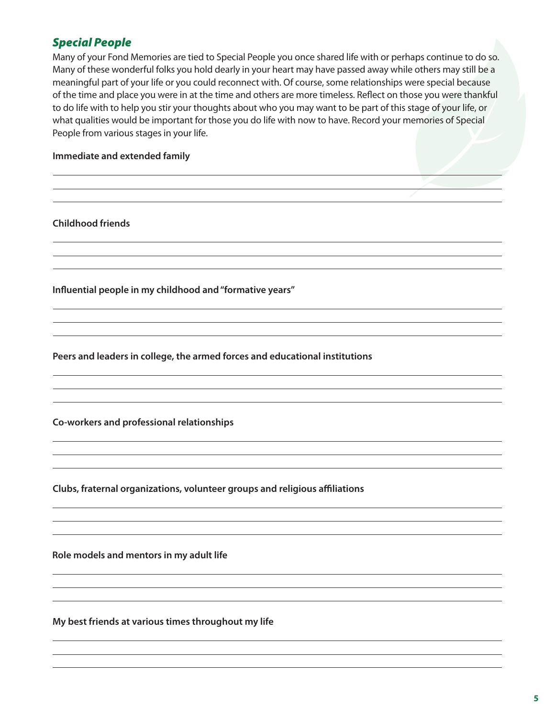# *Special People*

Many of your Fond Memories are tied to Special People you once shared life with or perhaps continue to do so. Many of these wonderful folks you hold dearly in your heart may have passed away while others may still be a meaningful part of your life or you could reconnect with. Of course, some relationships were special because of the time and place you were in at the time and others are more timeless. Reflect on those you were thankful to do life with to help you stir your thoughts about who you may want to be part of this stage of your life, or what qualities would be important for those you do life with now to have. Record your memories of Special People from various stages in your life. 

### **Immediate and extended family**

**Childhood friends** 

**Influential people in my childhood and "formative years"**

**Peers and leaders in college, the armed forces and educational institutions**

**Co-workers and professional relationships**

**Clubs, fraternal organizations, volunteer groups and religious affiliations**

**Role models and mentors in my adult life**

**My best friends at various times throughout my life**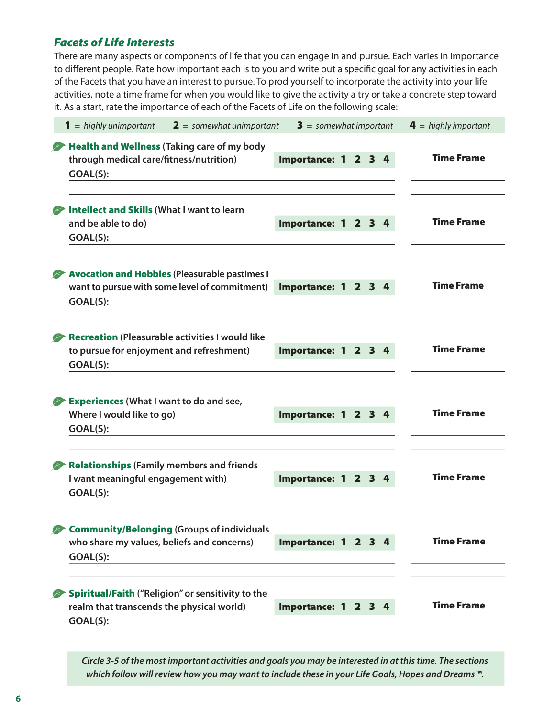# *Facets of Life Interests*

There are many aspects or components of life that you can engage in and pursue. Each varies in importance to different people. Rate how important each is to you and write out a specific goal for any activities in each of the Facets that you have an interest to pursue. To prod yourself to incorporate the activity into your life activities, note a time frame for when you would like to give the activity a try or take a concrete step toward it. As a start, rate the importance of each of the Facets of Life on the following scale:

| <b>1</b> = highly unimportant<br>$2 =$ somewhat unimportant                                                       | $3 =$ somewhat important |  |  | $4 =$ highly important |
|-------------------------------------------------------------------------------------------------------------------|--------------------------|--|--|------------------------|
| Health and Wellness (Taking care of my body<br>through medical care/fitness/nutrition)<br>GOAL(S):                | Importance: 1 2 3 4      |  |  | <b>Time Frame</b>      |
| Intellect and Skills (What I want to learn<br>and be able to do)<br>GOAL(S):                                      | Importance: 1 2 3 4      |  |  | <b>Time Frame</b>      |
| <b>Avocation and Hobbies (Pleasurable pastimes I</b><br>want to pursue with some level of commitment)<br>GOAL(S): | Importance: 1 2 3 4      |  |  | <b>Time Frame</b>      |
| <b>Recreation (Pleasurable activities I would like</b><br>to pursue for enjoyment and refreshment)<br>GOAL(S):    | Importance: 1 2 3 4      |  |  | <b>Time Frame</b>      |
| <b>Experiences (What I want to do and see,</b><br>Where I would like to go)<br>GOAL(S):                           | Importance: 1 2 3 4      |  |  | <b>Time Frame</b>      |
| <b>Relationships (Family members and friends</b><br>I want meaningful engagement with)<br>GOAL(S):                | Importance: 1 2 3 4      |  |  | <b>Time Frame</b>      |
| Community/Belonging (Groups of individuals<br>who share my values, beliefs and concerns)<br>GOAL(S):              | Importance: 1 2 3 4      |  |  | <b>Time Frame</b>      |
| Spiritual/Faith ("Religion" or sensitivity to the<br>realm that transcends the physical world)<br>GOAL(S):        | Importance: 1 2 3 4      |  |  | <b>Time Frame</b>      |

*Circle 3-5 of the most important activities and goals you may be interested in at this time. The sections which follow will review how you may want to include these in your Life Goals, Hopes and Dreams™.*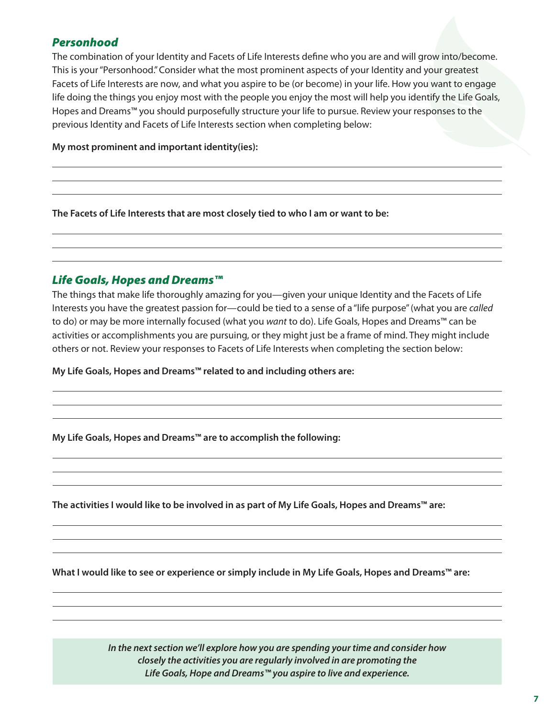# *Personhood*

The combination of your Identity and Facets of Life Interests define who you are and will grow into/become. This is your "Personhood." Consider what the most prominent aspects of your Identity and your greatest Facets of Life Interests are now, and what you aspire to be (or become) in your life. How you want to engage life doing the things you enjoy most with the people you enjoy the most will help you identify the Life Goals, Hopes and Dreams™ you should purposefully structure your life to pursue. Review your responses to the previous Identity and Facets of Life Interests section when completing below:

**My most prominent and important identity(ies):**

**The Facets of Life Interests that are most closely tied to who I am or want to be:**

# *Life Goals, Hopes and Dreams™*

The things that make life thoroughly amazing for you—given your unique Identity and the Facets of Life Interests you have the greatest passion for—could be tied to a sense of a "life purpose" (what you are *called* to do) or may be more internally focused (what you *want* to do). Life Goals, Hopes and Dreams™ can be activities or accomplishments you are pursuing, or they might just be a frame of mind. They might include others or not. Review your responses to Facets of Life Interests when completing the section below:

**My Life Goals, Hopes and Dreams™ related to and including others are:**

**My Life Goals, Hopes and Dreams™ are to accomplish the following:**

**The activities I would like to be involved in as part of My Life Goals, Hopes and Dreams™ are:**

**What I would like to see or experience or simply include in My Life Goals, Hopes and Dreams™ are:**

*In the next section we'll explore how you are spending your time and consider how closely the activities you are regularly involved in are promoting the Life Goals, Hope and Dreams™ you aspire to live and experience.*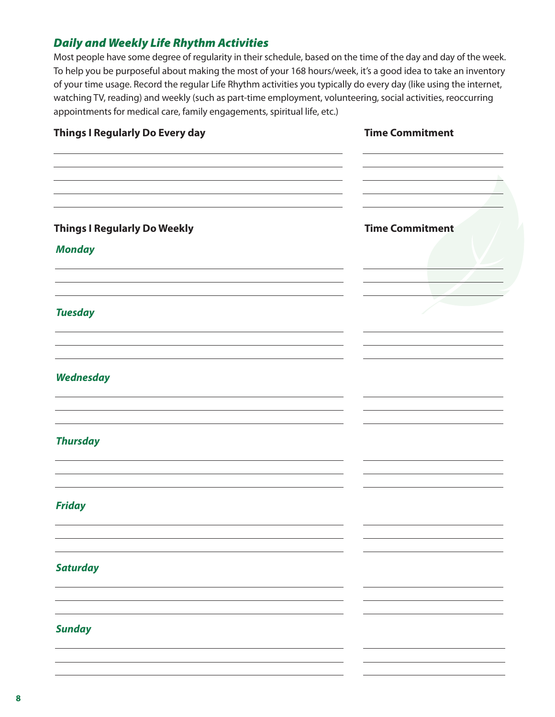# *Daily and Weekly Life Rhythm Activities*

Most people have some degree of regularity in their schedule, based on the time of the day and day of the week. To help you be purposeful about making the most of your 168 hours/week, it's a good idea to take an inventory of your time usage. Record the regular Life Rhythm activities you typically do every day (like using the internet, watching TV, reading) and weekly (such as part-time employment, volunteering, social activities, reoccurring appointments for medical care, family engagements, spiritual life, etc.)

| Things I Regularly Do Every day                      | <b>Time Commitment</b> |
|------------------------------------------------------|------------------------|
| <b>Things I Regularly Do Weekly</b><br><b>Monday</b> | <b>Time Commitment</b> |
| <b>Tuesday</b>                                       |                        |
| <b>Wednesday</b>                                     |                        |
| <b>Thursday</b>                                      |                        |
| <b>Friday</b>                                        |                        |
| <b>Saturday</b>                                      |                        |
| <b>Sunday</b>                                        |                        |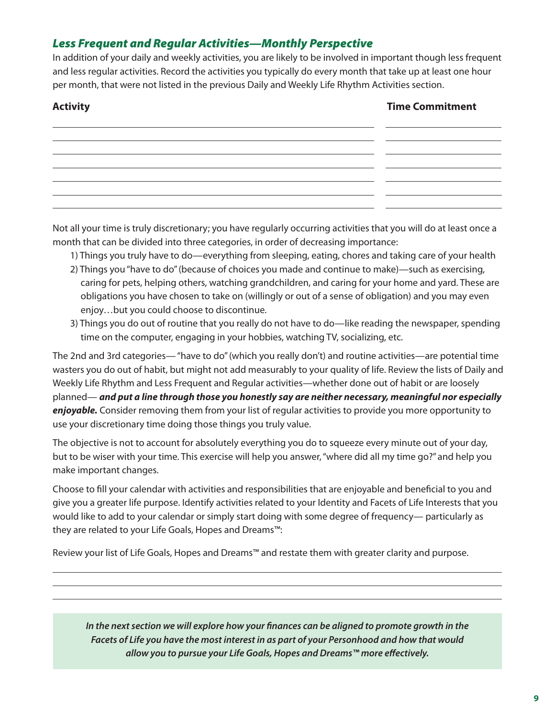# *Less Frequent and Regular Activities—Monthly Perspective*

In addition of your daily and weekly activities, you are likely to be involved in important though less frequent and less regular activities. Record the activities you typically do every month that take up at least one hour per month, that were not listed in the previous Daily and Weekly Life Rhythm Activities section.

# **Activity Time Commitment**

| ,我们就会不会不会。""你们的,你们就会不会不会不会。""你们的,你们就会不会不会不会不会不会。""你们的,你们就会不会不会不会不会不会不会不会不会。""你们的 |  |
|----------------------------------------------------------------------------------|--|

Not all your time is truly discretionary; you have regularly occurring activities that you will do at least once a month that can be divided into three categories, in order of decreasing importance:

1) Things you truly have to do—everything from sleeping, eating, chores and taking care of your health

- 2) Things you "have to do" (because of choices you made and continue to make)—such as exercising, caring for pets, helping others, watching grandchildren, and caring for your home and yard. These are obligations you have chosen to take on (willingly or out of a sense of obligation) and you may even enjoy…but you could choose to discontinue.
- 3) Things you do out of routine that you really do not have to do—like reading the newspaper, spending time on the computer, engaging in your hobbies, watching TV, socializing, etc.

The 2nd and 3rd categories— "have to do" (which you really don't) and routine activities—are potential time wasters you do out of habit, but might not add measurably to your quality of life. Review the lists of Daily and Weekly Life Rhythm and Less Frequent and Regular activities—whether done out of habit or are loosely planned— *and put a line through those you honestly say are neither necessary, meaningful nor especially enjoyable.* Consider removing them from your list of regular activities to provide you more opportunity to use your discretionary time doing those things you truly value.

The objective is not to account for absolutely everything you do to squeeze every minute out of your day, but to be wiser with your time. This exercise will help you answer, "where did all my time go?" and help you make important changes.

Choose to fill your calendar with activities and responsibilities that are enjoyable and beneficial to you and give you a greater life purpose. Identify activities related to your Identity and Facets of Life Interests that you would like to add to your calendar or simply start doing with some degree of frequency— particularly as they are related to your Life Goals, Hopes and Dreams™:

Review your list of Life Goals, Hopes and Dreams™ and restate them with greater clarity and purpose.

*In the next section we will explore how your finances can be aligned to promote growth in the Facets of Life you have the most interest in as part of your Personhood and how that would allow you to pursue your Life Goals, Hopes and Dreams™ more effectively.*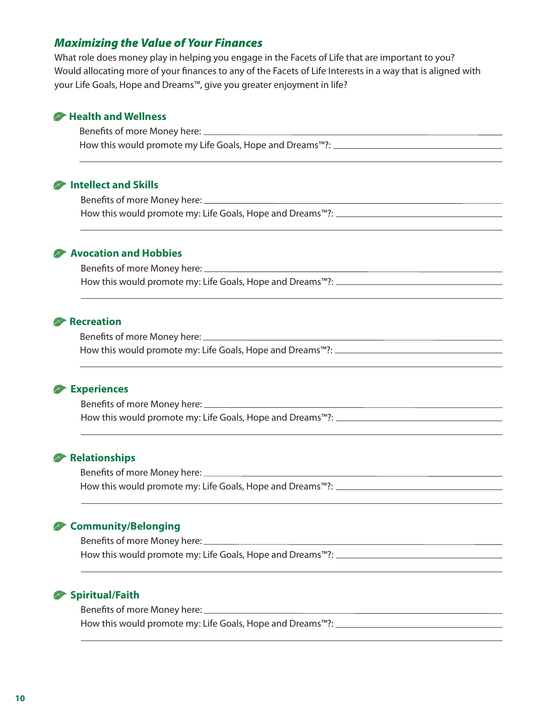# *Maximizing the Value of Your Finances*

What role does money play in helping you engage in the Facets of Life that are important to you? Would allocating more of your finances to any of the Facets of Life Interests in a way that is aligned with your Life Goals, Hope and Dreams™, give you greater enjoyment in life?

### **Health and Wellness**

 Benefits of more Money here: How this would promote my Life Goals, Hope and Dreams™?: \_\_\_\_\_\_\_\_\_\_\_\_\_\_\_\_\_\_\_\_\_\_\_

# *<b>P* Intellect and Skills

 Benefits of more Money here: How this would promote my: Life Goals, Hope and Dreams™?: \_\_\_\_\_\_\_\_\_\_\_\_\_\_\_\_\_\_\_\_\_\_

# **Avocation and Hobbies**

 Benefits of more Money here: How this would promote my: Life Goals, Hope and Dreams™?: \_\_\_\_\_\_\_\_\_\_\_\_\_\_\_\_\_\_\_\_\_\_

### **Recreation**

 Benefits of more Money here: How this would promote my: Life Goals, Hope and Dreams™?:

### **Experiences**

 Benefits of more Money here: How this would promote my: Life Goals, Hope and Dreams™?:

# **Relationships**

 Benefits of more Money here: <u> 1980 - Johann Barbara, martxa alemaniar a</u> How this would promote my: Life Goals, Hope and Dreams™?: \_\_\_\_\_\_\_\_\_\_\_\_\_\_\_\_\_\_\_\_\_\_

# **Community/Belonging**

 Benefits of more Money here: How this would promote my: Life Goals, Hope and Dreams™?: \_\_\_\_\_\_\_\_\_\_\_\_\_\_\_\_\_\_\_\_\_\_\_

# **Spiritual/Faith**

 Benefits of more Money here: How this would promote my: Life Goals, Hope and Dreams™?: \_\_\_\_\_\_\_\_\_\_\_\_\_\_\_\_\_\_\_\_\_\_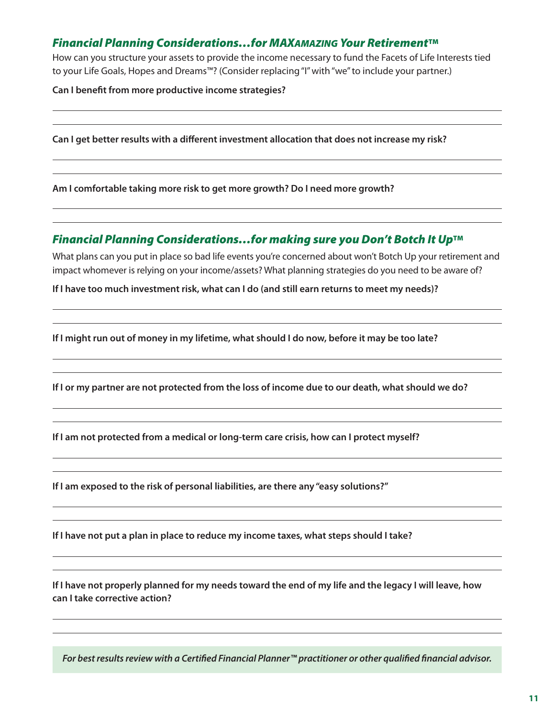# *Financial Planning Considerations…for MAXAMAZING Your Retirement*TM

How can you structure your assets to provide the income necessary to fund the Facets of Life Interests tied to your Life Goals, Hopes and Dreams™? (Consider replacing "I" with "we" to include your partner.)

**Can I benefit from more productive income strategies?**

**Can I get better results with a different investment allocation that does not increase my risk?**

**Am I comfortable taking more risk to get more growth? Do I need more growth?**

# **Financial Planning Considerations...for making sure you Don't Botch It Up™**

What plans can you put in place so bad life events you're concerned about won't Botch Up your retirement and impact whomever is relying on your income/assets? What planning strategies do you need to be aware of?

**If I have too much investment risk, what can I do (and still earn returns to meet my needs)?**

**If I might run out of money in my lifetime, what should I do now, before it may be too late?**

**If I or my partner are not protected from the loss of income due to our death, what should we do?**

**If I am not protected from a medical or long-term care crisis, how can I protect myself?** 

**If I am exposed to the risk of personal liabilities, are there any "easy solutions?"**

**If I have not put a plan in place to reduce my income taxes, what steps should I take?**

**If I have not properly planned for my needs toward the end of my life and the legacy I will leave, how can I take corrective action?**

*For best results review with a Certified Financial Planner™ practitioner or other qualified financial advisor.*